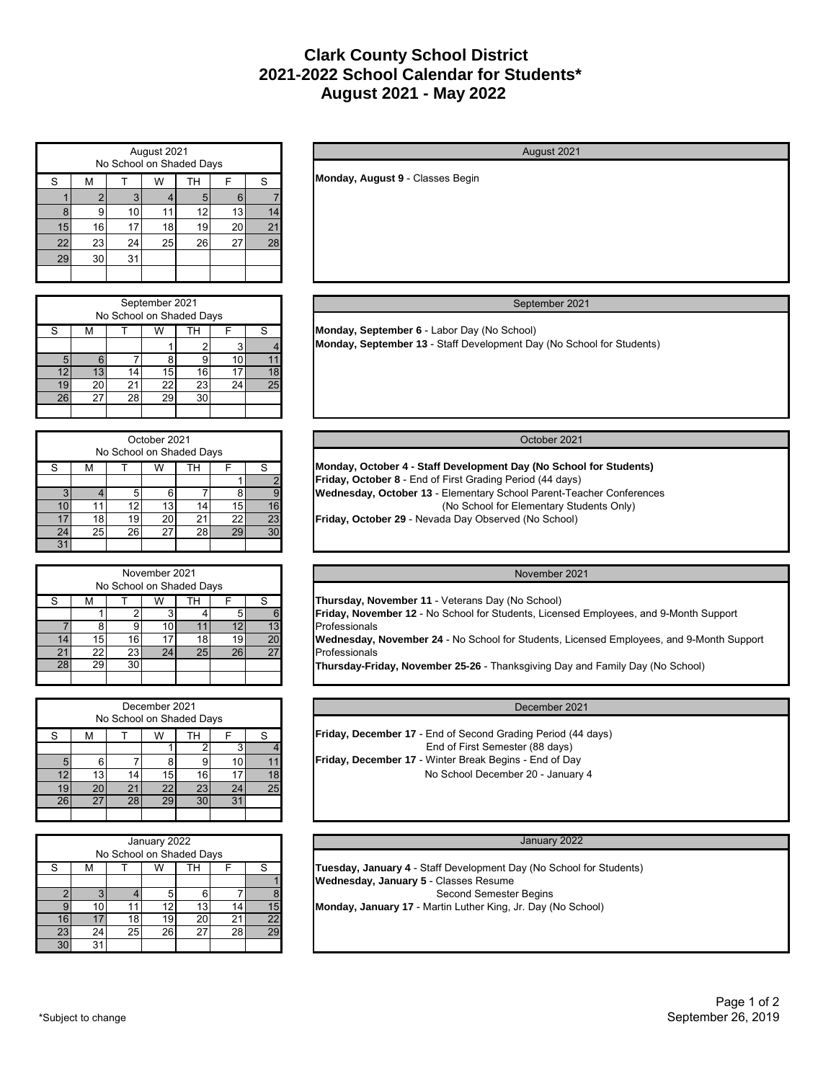# **August 2021 - May 2022 2021-2022 School Calendar for Students\* Clark County School District**

|    | August 2021<br>No School on Shaded Days |    |    |    |    |                      |  |  |  |  |  |
|----|-----------------------------------------|----|----|----|----|----------------------|--|--|--|--|--|
| S  | S<br>TН<br>М<br>W<br>F                  |    |    |    |    |                      |  |  |  |  |  |
|    | 2                                       | 3  |    | 5  | 6  |                      |  |  |  |  |  |
| 8  | 9                                       | 10 |    | 12 | 13 |                      |  |  |  |  |  |
| 15 | 16                                      | 17 | 18 | 19 | 20 | $\mathbf{2}^{\circ}$ |  |  |  |  |  |
| 22 | 23                                      | 24 | 25 | 26 | 27 | 28                   |  |  |  |  |  |
| 29 | 30                                      | 31 |    |    |    |                      |  |  |  |  |  |
|    |                                         |    |    |    |    |                      |  |  |  |  |  |

|    | September 2021<br>No School on Shaded Days |    |    |    |    |    |  |  |  |  |
|----|--------------------------------------------|----|----|----|----|----|--|--|--|--|
| S  | S<br>ΤН<br>M                               |    |    |    |    |    |  |  |  |  |
|    |                                            |    |    |    |    |    |  |  |  |  |
| 5  | 6                                          |    | ጸ  |    | 10 |    |  |  |  |  |
| 12 | 13                                         | 14 | 15 | 16 |    |    |  |  |  |  |
| 19 | 20                                         | 21 | 22 | 23 | 24 | 25 |  |  |  |  |
| 26 | 27                                         | 28 | 29 | 30 |    |    |  |  |  |  |
|    |                                            |    |    |    |    |    |  |  |  |  |

|    | October 2021<br>No School on Shaded Days |    |    |    |    |    |  |  |  |  |  |
|----|------------------------------------------|----|----|----|----|----|--|--|--|--|--|
| S  | м                                        |    |    | S  |    |    |  |  |  |  |  |
|    |                                          |    |    |    |    | 2  |  |  |  |  |  |
|    |                                          | 5  | 6  |    |    | 9  |  |  |  |  |  |
| 10 |                                          | 12 | 13 | 14 | 15 | 16 |  |  |  |  |  |
|    | 18                                       | 19 | 20 | 21 | 22 | 23 |  |  |  |  |  |
| 24 | 25                                       | 26 | 27 | 28 | 29 | 30 |  |  |  |  |  |
|    |                                          |    |    |    |    |    |  |  |  |  |  |

|                       | November 2021<br>No School on Shaded Days |    |    |    |    |    |  |  |  |  |  |
|-----------------------|-------------------------------------------|----|----|----|----|----|--|--|--|--|--|
| S                     | ΤН<br>S<br>w<br>М                         |    |    |    |    |    |  |  |  |  |  |
|                       |                                           |    |    |    |    |    |  |  |  |  |  |
|                       | 8                                         |    |    |    | 12 | 13 |  |  |  |  |  |
| $\boldsymbol{\Delta}$ | 15                                        | 16 | 17 | 18 | 19 | 20 |  |  |  |  |  |
| 21                    | 22                                        | 23 | 24 | 25 | 26 | 27 |  |  |  |  |  |
| 28                    | 29                                        | 30 |    |    |    |    |  |  |  |  |  |
|                       |                                           |    |    |    |    |    |  |  |  |  |  |

|    | December 2021<br>No School on Shaded Days |         |                 |    |    |    |  |  |  |  |  |
|----|-------------------------------------------|---------|-----------------|----|----|----|--|--|--|--|--|
| S  | М                                         | TН<br>W |                 |    |    |    |  |  |  |  |  |
|    |                                           |         |                 | 2  |    |    |  |  |  |  |  |
|    | 6                                         |         | 8               | 9  |    |    |  |  |  |  |  |
| 12 | 13                                        | 14      | 15              | 16 |    | 18 |  |  |  |  |  |
| IJ | 20                                        | 21      | 22 <sub>1</sub> | 23 | 24 | 25 |  |  |  |  |  |
| 26 | 27                                        | 28      | 29              | 30 | 3' |    |  |  |  |  |  |
|    |                                           |         |                 |    |    |    |  |  |  |  |  |

|    | January 2022<br>No School on Shaded Days |    |    |    |    |    |  |  |  |  |
|----|------------------------------------------|----|----|----|----|----|--|--|--|--|
| S  | м                                        | W  |    |    |    |    |  |  |  |  |
|    |                                          |    |    |    |    |    |  |  |  |  |
|    |                                          |    | 5  | 6  |    | 8  |  |  |  |  |
|    | 10                                       |    | 12 | 13 |    | 15 |  |  |  |  |
| 16 |                                          | 18 | 19 | 20 | 21 | 22 |  |  |  |  |
| 23 | 24                                       | 25 | 26 | 27 | 28 | 29 |  |  |  |  |
| 30 | 31                                       |    |    |    |    |    |  |  |  |  |

**Monday, August 9** - Classes Begin

## September 2021

August 2021

**Monday, September 6** - Labor Day (No School) **Monday, September 13** - Staff Development Day (No School for Students)

## October 2021

**Monday, October 4 - Staff Development Day (No School for Students) Friday, October 8** - End of First Grading Period (44 days) **Wednesday, October 13** - Elementary School Parent-Teacher Conferences (No School for Elementary Students Only) **Friday, October 29** - Nevada Day Observed (No School)

## November 2021

**Thursday, November 11** - Veterans Day (No School)

**Friday, November 12** - No School for Students, Licensed Employees, and 9-Month Support Professionals

**Wednesday, November 24** - No School for Students, Licensed Employees, and 9-Month Support Professionals

**Thursday-Friday, November 25-26** - Thanksgiving Day and Family Day (No School)

| December 2021                                                                                          |  |
|--------------------------------------------------------------------------------------------------------|--|
| <b>Friday, December 17</b> - End of Second Grading Period (44 days)<br>End of First Semester (88 days) |  |
| <b>Friday, December 17</b> - Winter Break Begins - End of Day<br>No School December 20 - January 4     |  |

#### January 2022

**Tuesday, January 4** - Staff Development Day (No School for Students) **Wednesday, January 5** - Classes Resume Second Semester Begins **Monday, January 17** - Martin Luther King, Jr. Day (No School)